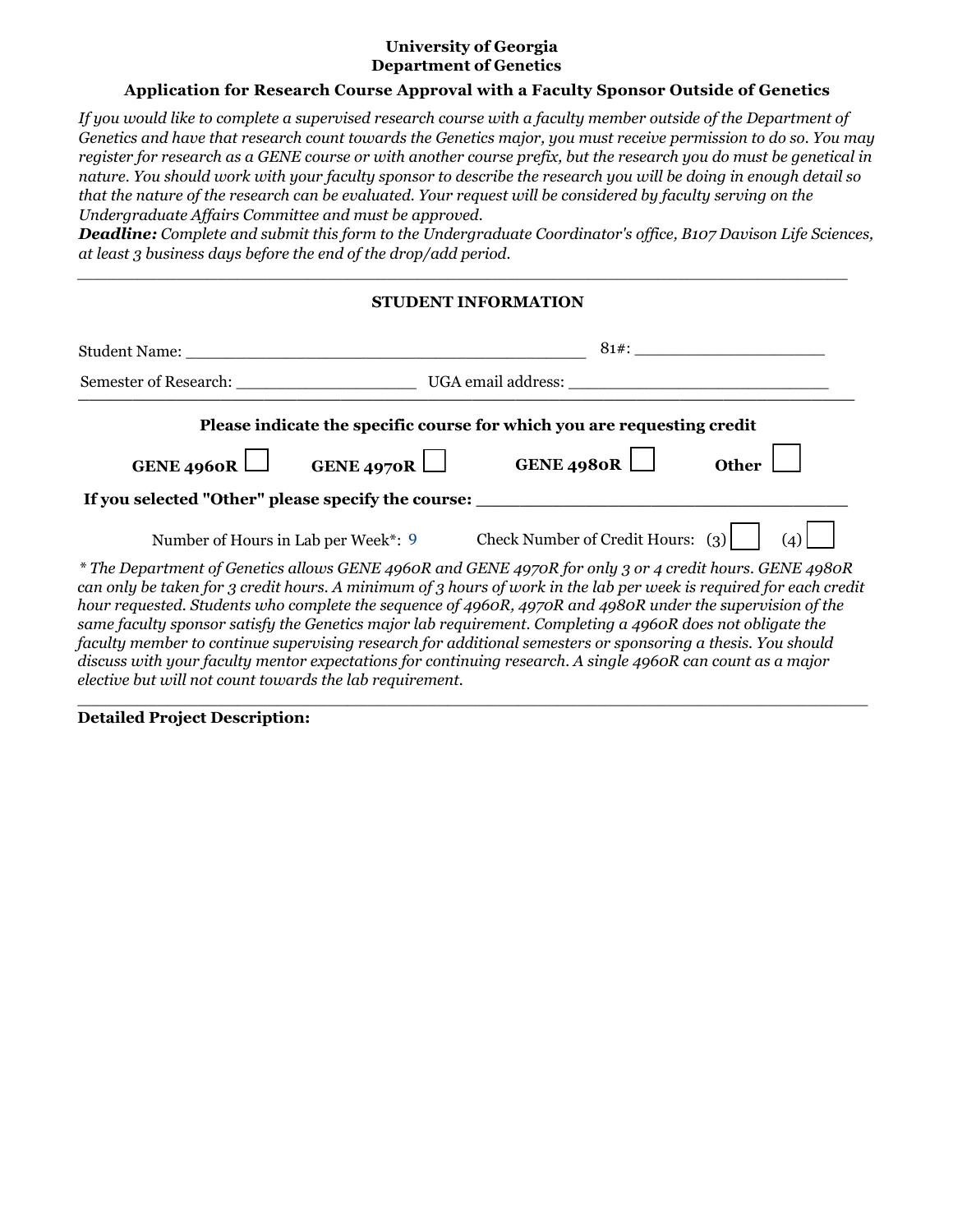## **University of Georgia Department of Genetics**

## **Application for Research Course Approval with a Faculty Sponsor Outside of Genetics**

*If you would like to complete a supervised research course with a faculty member outside of the Department of Genetics and have that research count towards the Genetics major, you must receive permission to do so. You may register for research as a GENE course or with another course prefix, but the research you do must be genetical in nature. You should work with your faculty sponsor to describe the research you will be doing in enough detail so that the nature of the research can be evaluated. Your request will be considered by faculty serving on the Undergraduate Affairs Committee and must be approved.*

*Deadline: Complete and submit this form to the Undergraduate Coordinator's office, B107 Davison Life Sciences, at least 3 business days before the end of the drop/add period.*

# **STUDENT INFORMATION**

*\_\_\_\_\_\_\_\_\_\_\_\_\_\_\_\_\_\_\_\_\_\_\_\_\_\_\_\_\_\_\_\_\_\_\_\_\_\_\_\_\_\_\_\_\_\_\_\_\_\_\_\_\_\_\_\_\_\_\_\_\_\_\_\_\_\_\_\_\_\_\_\_\_\_\_\_\_*

| Student Name: The Student Student Name:                  | $81#$ :<br><u> 1989 - Andrea Station, amerikansk politik (</u>                                                                                                                                                                                                                                                                                                                                                                                                                                                                                                                                                                                                                      |  |  |
|----------------------------------------------------------|-------------------------------------------------------------------------------------------------------------------------------------------------------------------------------------------------------------------------------------------------------------------------------------------------------------------------------------------------------------------------------------------------------------------------------------------------------------------------------------------------------------------------------------------------------------------------------------------------------------------------------------------------------------------------------------|--|--|
|                                                          |                                                                                                                                                                                                                                                                                                                                                                                                                                                                                                                                                                                                                                                                                     |  |  |
|                                                          | Please indicate the specific course for which you are requesting credit                                                                                                                                                                                                                                                                                                                                                                                                                                                                                                                                                                                                             |  |  |
| GENE 4960R                                               | GENE 4970R GENE 4980R<br><b>Other</b>                                                                                                                                                                                                                                                                                                                                                                                                                                                                                                                                                                                                                                               |  |  |
|                                                          | If you selected "Other" please specify the course: _____________________________                                                                                                                                                                                                                                                                                                                                                                                                                                                                                                                                                                                                    |  |  |
| Number of Hours in Lab per Week*: 9                      | Check Number of Credit Hours: $(3)$                                                                                                                                                                                                                                                                                                                                                                                                                                                                                                                                                                                                                                                 |  |  |
| elective but will not count towards the lab requirement. | * The Department of Genetics allows GENE 4960R and GENE 4970R for only 3 or 4 credit hours. GENE 4980R<br>can only be taken for 3 credit hours. A minimum of 3 hours of work in the lab per week is required for each credit<br>hour requested. Students who complete the sequence of 4960R, 4970R and 4980R under the supervision of the<br>same faculty sponsor satisfy the Genetics major lab requirement. Completing a 4960R does not obligate the<br>faculty member to continue supervising research for additional semesters or sponsoring a thesis. You should<br>discuss with your faculty mentor expectations for continuing research. A single 4960R can count as a major |  |  |

 $\_$  ,  $\_$  ,  $\_$  ,  $\_$  ,  $\_$  ,  $\_$  ,  $\_$  ,  $\_$  ,  $\_$  ,  $\_$  ,  $\_$  ,  $\_$  ,  $\_$  ,  $\_$  ,  $\_$  ,  $\_$  ,  $\_$  ,  $\_$  ,  $\_$  ,  $\_$  ,  $\_$  ,  $\_$  ,  $\_$  ,  $\_$  ,  $\_$  ,  $\_$  ,  $\_$  ,  $\_$  ,  $\_$  ,  $\_$  ,  $\_$  ,  $\_$  ,  $\_$  ,  $\_$  ,  $\_$  ,  $\_$  ,  $\_$  ,

**Detailed Project Description:**